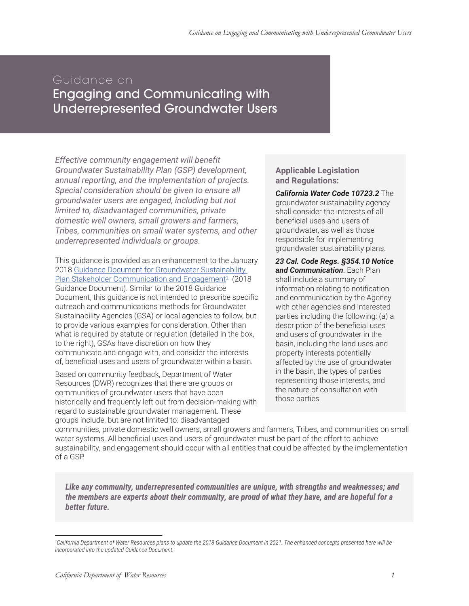## Guidance on

Engaging and Communicating with Underrepresented Groundwater Users

*Effective community engagement will benefit Groundwater Sustainability Plan (GSP) development, annual reporting, and the implementation of projects. Special consideration should be given to ensure all groundwater users are engaged, including but not limited to, disadvantaged communities, private domestic well owners, small growers and farmers, Tribes, communities on small water systems, and other underrepresented individuals or groups.*

This guidance is provided as an enhancement to the January 2018 Guidance Document for Groundwater Sustainability Plan Stakeholder Communication and Engagement<sup>1</sup> (2018 Guidance Document). Similar to the 2018 Guidance Document, this guidance is not intended to prescribe specific outreach and communications methods for Groundwater Sustainability Agencies (GSA) or local agencies to follow, but to provide various examples for consideration. Other than what is required by statute or regulation (detailed in the box, to the right), GSAs have discretion on how they communicate and engage with, and consider the interests of, beneficial uses and users of groundwater within a basin.

Based on community feedback, Department of Water Resources (DWR) recognizes that there are groups or communities of groundwater users that have been historically and frequently left out from decision-making with regard to sustainable groundwater management. These groups include, but are not limited to: disadvantaged

**Applicable Legislation and Regulations:**

*California Water Code 10723.2* The groundwater sustainability agency shall consider the interests of all beneficial uses and users of groundwater, as well as those responsible for implementing groundwater sustainability plans.

*23 Cal. Code Regs. §354.10 Notice and Communication*. Each Plan shall include a summary of information relating to notification and communication by the Agency with other agencies and interested parties including the following: (a) a description of the beneficial uses and users of groundwater in the basin, including the land uses and property interests potentially affected by the use of groundwater in the basin, the types of parties representing those interests, and the nature of consultation with those parties.

communities, private domestic well owners, small growers and farmers, Tribes, and communities on small water systems. All beneficial uses and users of groundwater must be part of the effort to achieve sustainability, and engagement should occur with all entities that could be affected by the implementation of a GSP.

*Like any community, underrepresented communities are unique, with strengths and weaknesses; and the members are experts about their community, are proud of what they have, and are hopeful for a better future.*

*<sup>1</sup> California Department of Water Resources plans to update the 2018 Guidance Document in 2021. The enhanced concepts presented here will be incorporated into the updated Guidance Document.*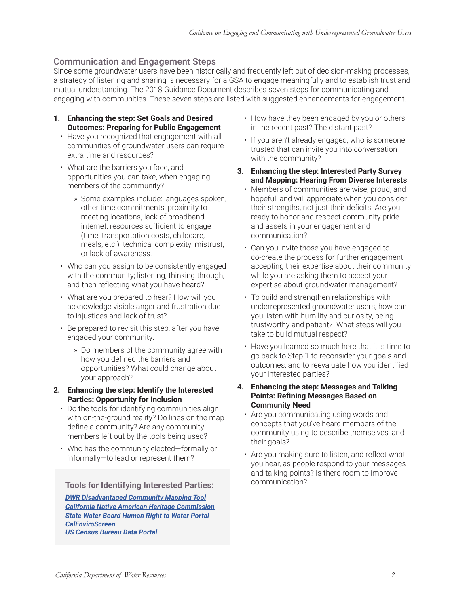## Communication and Engagement Steps

Since some groundwater users have been historically and frequently left out of decision-making processes, a strategy of listening and sharing is necessary for a GSA to engage meaningfully and to establish trust and mutual understanding. The 2018 Guidance Document describes seven steps for communicating and engaging with communities. These seven steps are listed with suggested enhancements for engagement.

- **1. Enhancing the step: Set Goals and Desired Outcomes: Preparing for Public Engagement**
	- Have you recognized that engagement with all communities of groundwater users can require extra time and resources?
	- What are the barriers you face, and opportunities you can take, when engaging members of the community?
		- » Some examples include: languages spoken, other time commitments, proximity to meeting locations, lack of broadband internet, resources sufficient to engage (time, transportation costs, childcare, meals, etc.), technical complexity, mistrust, or lack of awareness.
	- Who can you assign to be consistently engaged with the community; listening, thinking through, and then reflecting what you have heard?
	- What are you prepared to hear? How will you acknowledge visible anger and frustration due to injustices and lack of trust?
	- Be prepared to revisit this step, after you have engaged your community.
		- » Do members of the community agree with how you defined the barriers and opportunities? What could change about your approach?
- **2. Enhancing the step: Identify the Interested Parties: Opportunity for Inclusion**
	- Do the tools for identifying communities align with on-the-ground reality? Do lines on the map define a community? Are any community members left out by the tools being used?
	- Who has the community elected—formally or informally—to lead or represent them?

## communication? **Tools for Identifying Interested Parties:**

*DWR Disadvantaged Community Mapping Tool California Native American Heritage Commission State Water Board Human Right to Water Portal CalEnviroScreen US Census Bureau Data Portal*

- How have they been engaged by you or others in the recent past? The distant past?
- If you aren't already engaged, who is someone trusted that can invite you into conversation with the community?
- **3. Enhancing the step: Interested Party Survey and Mapping: Hearing From Diverse Interests**
	- Members of communities are wise, proud, and hopeful, and will appreciate when you consider their strengths, not just their deficits. Are you ready to honor and respect community pride and assets in your engagement and communication?
	- Can you invite those you have engaged to co-create the process for further engagement, accepting their expertise about their community while you are asking them to accept your expertise about groundwater management?
	- To build and strengthen relationships with underrepresented groundwater users, how can you listen with humility and curiosity, being trustworthy and patient? What steps will you take to build mutual respect?
	- Have you learned so much here that it is time to go back to Step 1 to reconsider your goals and outcomes, and to reevaluate how you identified your interested parties?
- **4. Enhancing the step: Messages and Talking Points: Refining Messages Based on Community Need**
	- Are you communicating using words and concepts that you've heard members of the community using to describe themselves, and their goals?
	- Are you making sure to listen, and reflect what you hear, as people respond to your messages and talking points? Is there room to improve